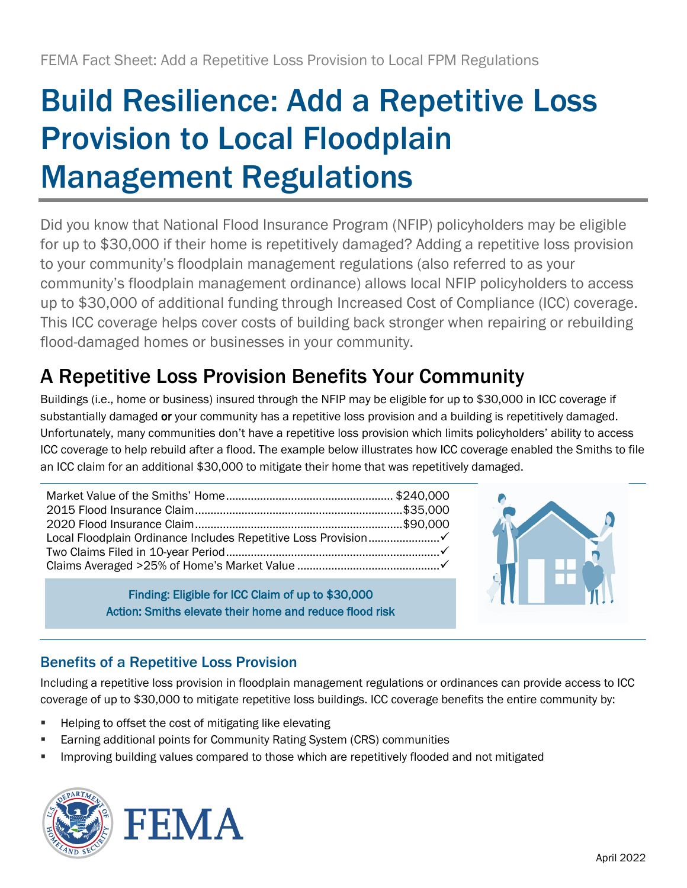# Build Resilience: Add a Repetitive Loss Provision to Local Floodplain Management Regulations

Did you know that National Flood Insurance Program (NFIP) policyholders may be eligible for up to \$30,000 if their home is repetitively damaged? Adding a repetitive loss provision to your community's floodplain management regulations (also referred to as your community's floodplain management ordinance) allows local NFIP policyholders to access up to \$30,000 of additional funding through Increased Cost of Compliance (ICC) coverage. This ICC coverage helps cover costs of building back stronger when repairing or rebuilding flood-damaged homes or businesses in your community.

# A Repetitive Loss Provision Benefits Your Community

Buildings (i.e., home or business) insured through the NFIP may be eligible for up to \$30,000 in ICC coverage if substantially damaged or your community has a repetitive loss provision and a building is repetitively damaged. Unfortunately, many communities don't have a repetitive loss provision which limits policyholders' ability to access ICC coverage to help rebuild after a flood. The example below illustrates how ICC coverage enabled the Smiths to file an ICC claim for an additional \$30,000 to mitigate their home that was repetitively damaged.

Finding: Eligible for ICC Claim of up to \$30,000 Action: Smiths elevate their home and reduce flood risk



## Benefits of a Repetitive Loss Provision

Including a repetitive loss provision in floodplain management regulations or ordinances can provide access to ICC coverage of up to \$30,000 to mitigate repetitive loss buildings. ICC coverage benefits the entire community by:

- Helping to offset the cost of mitigating like elevating
- **Earning additional points for Community Rating System (CRS) communities**
- Improving building values compared to those which are repetitively flooded and not mitigated